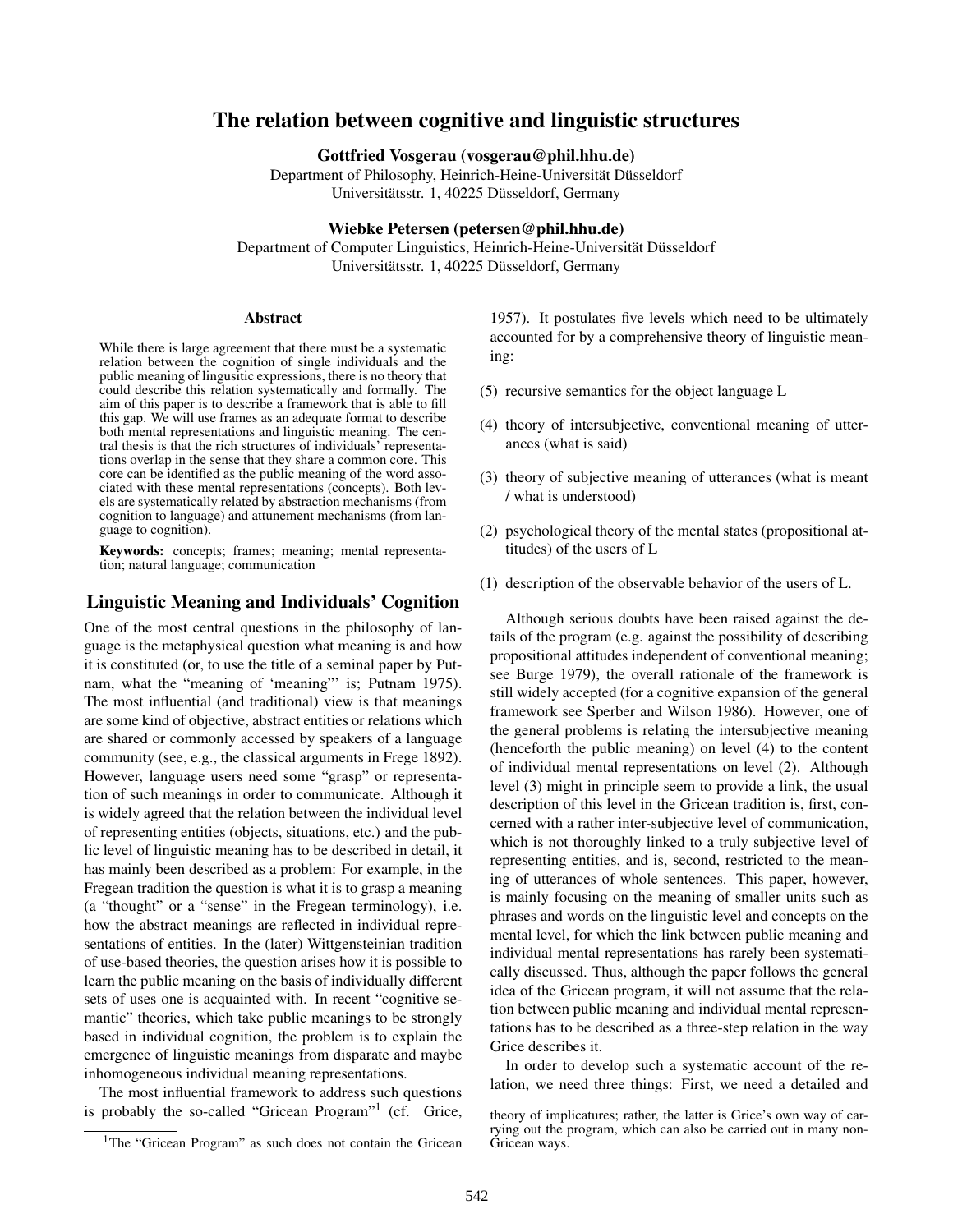# The relation between cognitive and linguistic structures

Gottfried Vosgerau (vosgerau@phil.hhu.de)

Department of Philosophy, Heinrich-Heine-Universität Düsseldorf Universitätsstr. 1, 40225 Düsseldorf, Germany

#### Wiebke Petersen (petersen@phil.hhu.de)

Department of Computer Linguistics, Heinrich-Heine-Universität Düsseldorf Universitätsstr. 1, 40225 Düsseldorf, Germany

#### Abstract

While there is large agreement that there must be a systematic relation between the cognition of single individuals and the public meaning of lingusitic expressions, there is no theory that could describe this relation systematically and formally. The aim of this paper is to describe a framework that is able to fill this gap. We will use frames as an adequate format to describe both mental representations and linguistic meaning. The central thesis is that the rich structures of individuals' representations overlap in the sense that they share a common core. This core can be identified as the public meaning of the word associated with these mental representations (concepts). Both levels are systematically related by abstraction mechanisms (from cognition to language) and attunement mechanisms (from language to cognition).

Keywords: concepts; frames; meaning; mental representation; natural language; communication

# Linguistic Meaning and Individuals' Cognition

One of the most central questions in the philosophy of language is the metaphysical question what meaning is and how it is constituted (or, to use the title of a seminal paper by Putnam, what the "meaning of 'meaning"' is; Putnam 1975). The most influential (and traditional) view is that meanings are some kind of objective, abstract entities or relations which are shared or commonly accessed by speakers of a language community (see, e.g., the classical arguments in Frege 1892). However, language users need some "grasp" or representation of such meanings in order to communicate. Although it is widely agreed that the relation between the individual level of representing entities (objects, situations, etc.) and the public level of linguistic meaning has to be described in detail, it has mainly been described as a problem: For example, in the Fregean tradition the question is what it is to grasp a meaning (a "thought" or a "sense" in the Fregean terminology), i.e. how the abstract meanings are reflected in individual representations of entities. In the (later) Wittgensteinian tradition of use-based theories, the question arises how it is possible to learn the public meaning on the basis of individually different sets of uses one is acquainted with. In recent "cognitive semantic" theories, which take public meanings to be strongly based in individual cognition, the problem is to explain the emergence of linguistic meanings from disparate and maybe inhomogeneous individual meaning representations.

The most influential framework to address such questions is probably the so-called "Gricean Program"<sup>1</sup> (cf. Grice,

1957). It postulates five levels which need to be ultimately accounted for by a comprehensive theory of linguistic meaning:

- (5) recursive semantics for the object language L
- (4) theory of intersubjective, conventional meaning of utterances (what is said)
- (3) theory of subjective meaning of utterances (what is meant / what is understood)
- (2) psychological theory of the mental states (propositional attitudes) of the users of L
- (1) description of the observable behavior of the users of L.

Although serious doubts have been raised against the details of the program (e.g. against the possibility of describing propositional attitudes independent of conventional meaning; see Burge 1979), the overall rationale of the framework is still widely accepted (for a cognitive expansion of the general framework see Sperber and Wilson 1986). However, one of the general problems is relating the intersubjective meaning (henceforth the public meaning) on level (4) to the content of individual mental representations on level (2). Although level (3) might in principle seem to provide a link, the usual description of this level in the Gricean tradition is, first, concerned with a rather inter-subjective level of communication, which is not thoroughly linked to a truly subjective level of representing entities, and is, second, restricted to the meaning of utterances of whole sentences. This paper, however, is mainly focusing on the meaning of smaller units such as phrases and words on the linguistic level and concepts on the mental level, for which the link between public meaning and individual mental representations has rarely been systematically discussed. Thus, although the paper follows the general idea of the Gricean program, it will not assume that the relation between public meaning and individual mental representations has to be described as a three-step relation in the way Grice describes it.

In order to develop such a systematic account of the relation, we need three things: First, we need a detailed and

<sup>&</sup>lt;sup>1</sup>The "Gricean Program" as such does not contain the Gricean

theory of implicatures; rather, the latter is Grice's own way of carrying out the program, which can also be carried out in many non-Gricean ways.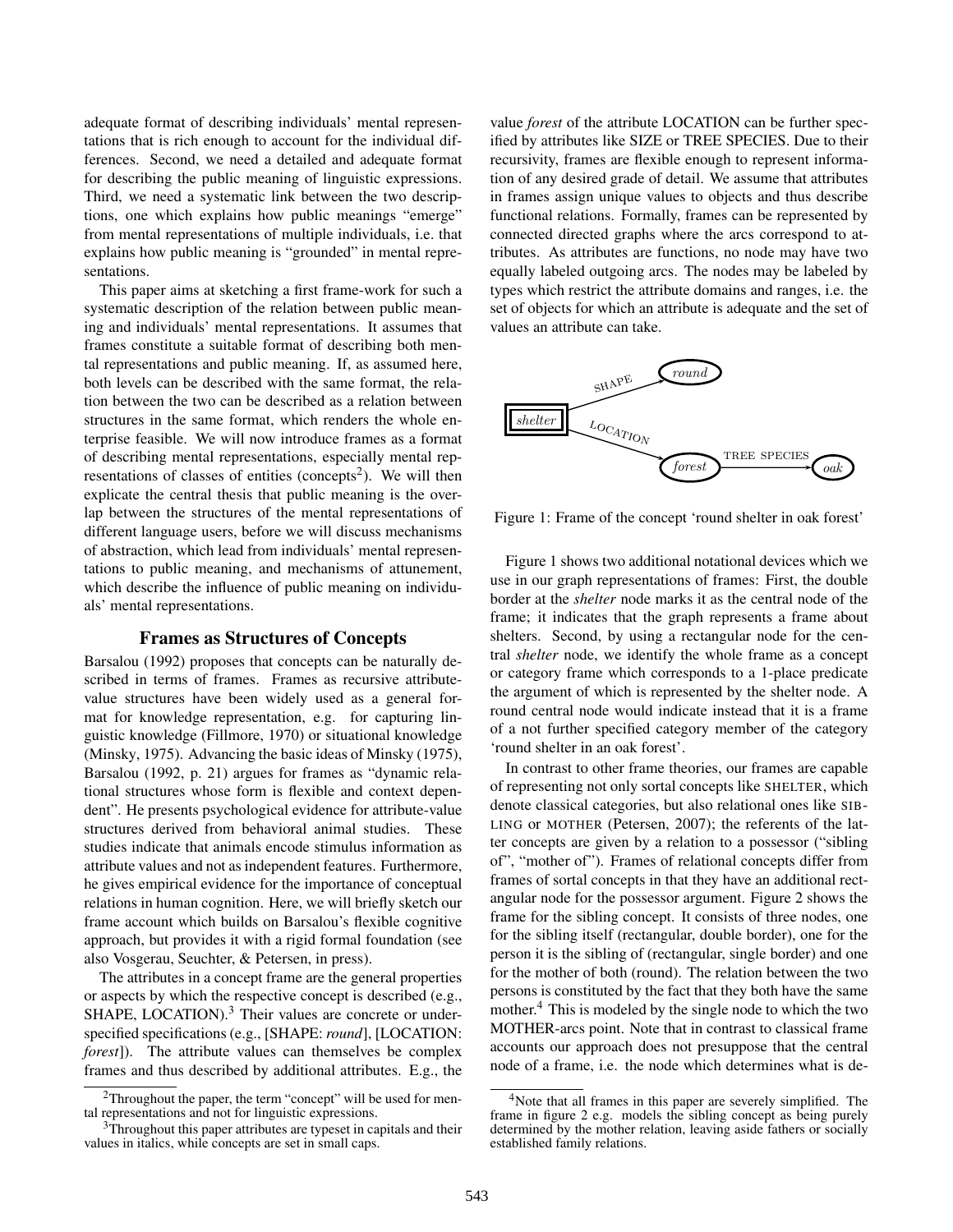adequate format of describing individuals' mental representations that is rich enough to account for the individual differences. Second, we need a detailed and adequate format for describing the public meaning of linguistic expressions. Third, we need a systematic link between the two descriptions, one which explains how public meanings "emerge" from mental representations of multiple individuals, i.e. that explains how public meaning is "grounded" in mental representations.

This paper aims at sketching a first frame-work for such a systematic description of the relation between public meaning and individuals' mental representations. It assumes that frames constitute a suitable format of describing both mental representations and public meaning. If, as assumed here, both levels can be described with the same format, the relation between the two can be described as a relation between structures in the same format, which renders the whole enterprise feasible. We will now introduce frames as a format of describing mental representations, especially mental representations of classes of entities (concepts<sup>2</sup>). We will then explicate the central thesis that public meaning is the overlap between the structures of the mental representations of different language users, before we will discuss mechanisms of abstraction, which lead from individuals' mental representations to public meaning, and mechanisms of attunement, which describe the influence of public meaning on individuals' mental representations.

## Frames as Structures of Concepts

Barsalou (1992) proposes that concepts can be naturally described in terms of frames. Frames as recursive attributevalue structures have been widely used as a general format for knowledge representation, e.g. for capturing linguistic knowledge (Fillmore, 1970) or situational knowledge (Minsky, 1975). Advancing the basic ideas of Minsky (1975), Barsalou (1992, p. 21) argues for frames as "dynamic relational structures whose form is flexible and context dependent". He presents psychological evidence for attribute-value structures derived from behavioral animal studies. These studies indicate that animals encode stimulus information as attribute values and not as independent features. Furthermore, he gives empirical evidence for the importance of conceptual relations in human cognition. Here, we will briefly sketch our frame account which builds on Barsalou's flexible cognitive approach, but provides it with a rigid formal foundation (see also Vosgerau, Seuchter, & Petersen, in press).

The attributes in a concept frame are the general properties or aspects by which the respective concept is described (e.g., SHAPE, LOCATION). $3$  Their values are concrete or underspecified specifications (e.g., [SHAPE: *round*], [LOCATION: *forest*]). The attribute values can themselves be complex frames and thus described by additional attributes. E.g., the value *forest* of the attribute LOCATION can be further specified by attributes like SIZE or TREE SPECIES. Due to their recursivity, frames are flexible enough to represent information of any desired grade of detail. We assume that attributes in frames assign unique values to objects and thus describe functional relations. Formally, frames can be represented by connected directed graphs where the arcs correspond to attributes. As attributes are functions, no node may have two equally labeled outgoing arcs. The nodes may be labeled by types which restrict the attribute domains and ranges, i.e. the set of objects for which an attribute is adequate and the set of values an attribute can take.



Figure 1: Frame of the concept 'round shelter in oak forest'

mother at the shelter node marks it as the central node of the Shelter at the shelter node marks it as the central node of the Shelter device that the shelter processes Figure 1 shows two additional notational devices which we border at the *shelter* node marks it as the central node of the frame; it indicates that the graph represents a frame about shelters. Second, by using a rectangular node for the central *shelter* node, we identify the whole frame as a concept or category frame which corresponds to a 1-place predicate the argument of which is represented by the shelter node. A round central node would indicate instead that it is a frame of a not further specified category member of the category 'round shelter in an oak forest'.

In contrast to other frame theories, our frames are capable of representing not only sortal concepts like SHELTER, which denote classical categories, but also relational ones like SIB-LING or MOTHER (Petersen, 2007); the referents of the latter concepts are given by a relation to a possessor ("sibling of", "mother of"). Frames of relational concepts differ from frames of sortal concepts in that they have an additional rectangular node for the possessor argument. Figure 2 shows the frame for the sibling concept. It consists of three nodes, one for the sibling itself (rectangular, double border), one for the person it is the sibling of (rectangular, single border) and one for the mother of both (round). The relation between the two persons is constituted by the fact that they both have the same mother.<sup>4</sup> This is modeled by the single node to which the two MOTHER-arcs point. Note that in contrast to classical frame accounts our approach does not presuppose that the central node of a frame, i.e. the node which determines what is de-

<sup>&</sup>lt;sup>2</sup>Throughout the paper, the term "concept" will be used for mental representations and not for linguistic expressions.

<sup>&</sup>lt;sup>3</sup>Throughout this paper attributes are typeset in capitals and their values in italics, while concepts are set in small caps.

<sup>4</sup>Note that all frames in this paper are severely simplified. The frame in figure 2 e.g. models the sibling concept as being purely determined by the mother relation, leaving aside fathers or socially established family relations.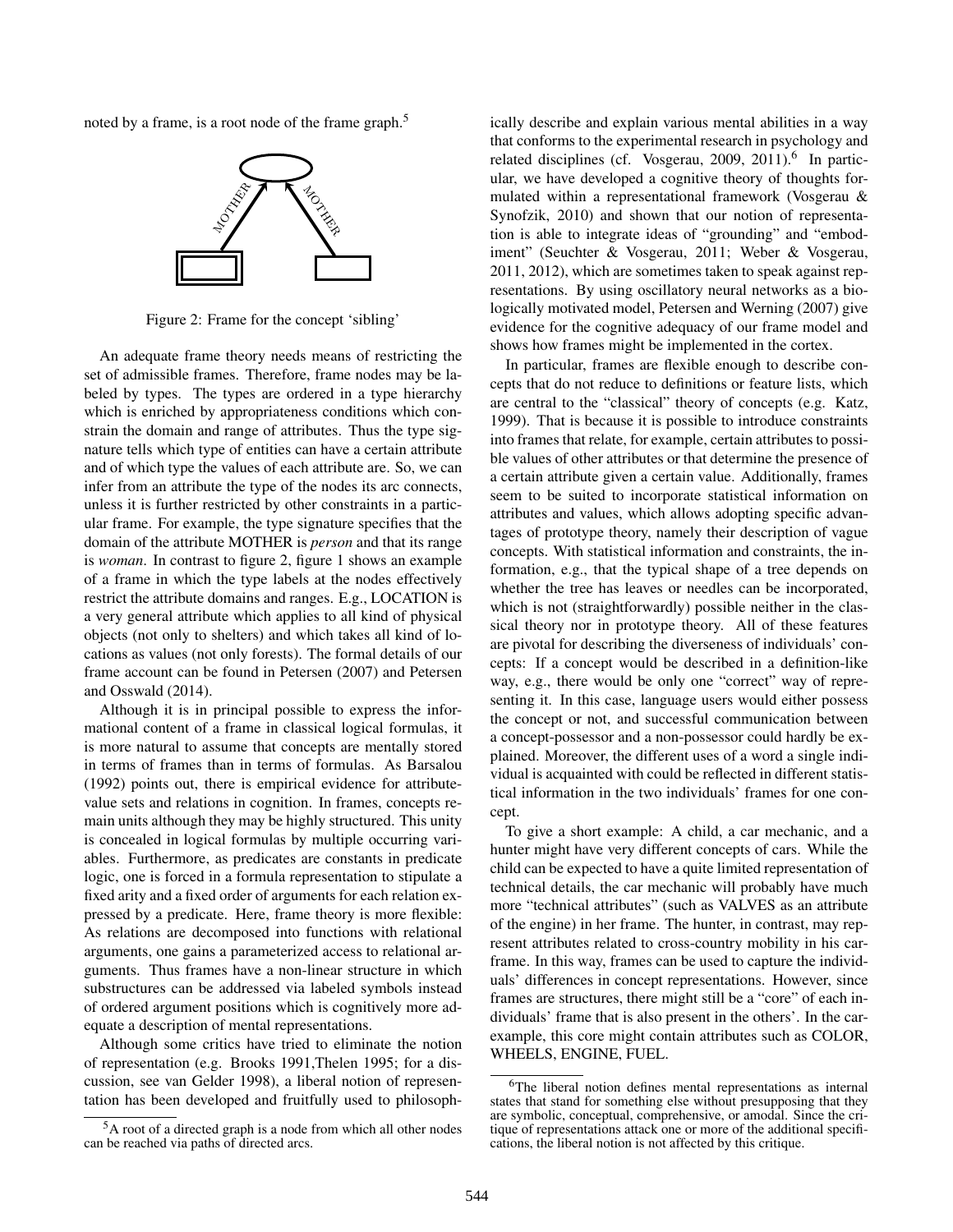noted by a frame, is a root node of the frame graph.<sup>5</sup>



Figure 2: Frame for the concept 'sibling'

An adequate frame theory needs means of restricting the set of admissible frames. Therefore, frame nodes may be labeled by types. The types are ordered in a type hierarchy which is enriched by appropriateness conditions which constrain the domain and range of attributes. Thus the type signature tells which type of entities can have a certain attribute and of which type the values of each attribute are. So, we can infer from an attribute the type of the nodes its arc connects, unless it is further restricted by other constraints in a particular frame. For example, the type signature specifies that the domain of the attribute MOTHER is *person* and that its range is *woman*. In contrast to figure 2, figure 1 shows an example of a frame in which the type labels at the nodes effectively restrict the attribute domains and ranges. E.g., LOCATION is a very general attribute which applies to all kind of physical objects (not only to shelters) and which takes all kind of locations as values (not only forests). The formal details of our frame account can be found in Petersen (2007) and Petersen and Osswald (2014).

is concealed in logical formulas by multiple occurring vari-Although it is in principal possible to express the informational content of a frame in classical logical formulas, it is more natural to assume that concepts are mentally stored in terms of frames than in terms of formulas. As Barsalou (1992) points out, there is empirical evidence for attributevalue sets and relations in cognition. In frames, concepts remain units although they may be highly structured. This unity ables. Furthermore, as predicates are constants in predicate logic, one is forced in a formula representation to stipulate a fixed arity and a fixed order of arguments for each relation expressed by a predicate. Here, frame theory is more flexible: As relations are decomposed into functions with relational arguments, one gains a parameterized access to relational arguments. Thus frames have a non-linear structure in which substructures can be addressed via labeled symbols instead of ordered argument positions which is cognitively more adequate a description of mental representations.

Although some critics have tried to eliminate the notion of representation (e.g. Brooks 1991,Thelen 1995; for a discussion, see van Gelder 1998), a liberal notion of representation has been developed and fruitfully used to philosoph-

<sup>5</sup>A root of a directed graph is a node from which all other nodes can be reached via paths of directed arcs.

ically describe and explain various mental abilities in a way that conforms to the experimental research in psychology and related disciplines (cf. Vosgerau, 2009, 2011).<sup>6</sup> In particular, we have developed a cognitive theory of thoughts formulated within a representational framework (Vosgerau & Synofzik, 2010) and shown that our notion of representation is able to integrate ideas of "grounding" and "embodiment" (Seuchter & Vosgerau, 2011; Weber & Vosgerau, 2011, 2012), which are sometimes taken to speak against representations. By using oscillatory neural networks as a biologically motivated model, Petersen and Werning (2007) give evidence for the cognitive adequacy of our frame model and shows how frames might be implemented in the cortex.

In particular, frames are flexible enough to describe concepts that do not reduce to definitions or feature lists, which are central to the "classical" theory of concepts (e.g. Katz, 1999). That is because it is possible to introduce constraints into frames that relate, for example, certain attributes to possible values of other attributes or that determine the presence of a certain attribute given a certain value. Additionally, frames seem to be suited to incorporate statistical information on attributes and values, which allows adopting specific advantages of prototype theory, namely their description of vague concepts. With statistical information and constraints, the information, e.g., that the typical shape of a tree depends on whether the tree has leaves or needles can be incorporated, which is not (straightforwardly) possible neither in the classical theory nor in prototype theory. All of these features are pivotal for describing the diverseness of individuals' concepts: If a concept would be described in a definition-like way, e.g., there would be only one "correct" way of representing it. In this case, language users would either possess the concept or not, and successful communication between a concept-possessor and a non-possessor could hardly be explained. Moreover, the different uses of a word a single individual is acquainted with could be reflected in different statistical information in the two individuals' frames for one concept.

To give a short example: A child, a car mechanic, and a hunter might have very different concepts of cars. While the child can be expected to have a quite limited representation of technical details, the car mechanic will probably have much more "technical attributes" (such as VALVES as an attribute of the engine) in her frame. The hunter, in contrast, may represent attributes related to cross-country mobility in his carframe. In this way, frames can be used to capture the individuals' differences in concept representations. However, since frames are structures, there might still be a "core" of each individuals' frame that is also present in the others'. In the carexample, this core might contain attributes such as COLOR, WHEELS, ENGINE, FUEL.

<sup>6</sup>The liberal notion defines mental representations as internal states that stand for something else without presupposing that they are symbolic, conceptual, comprehensive, or amodal. Since the critique of representations attack one or more of the additional specifications, the liberal notion is not affected by this critique.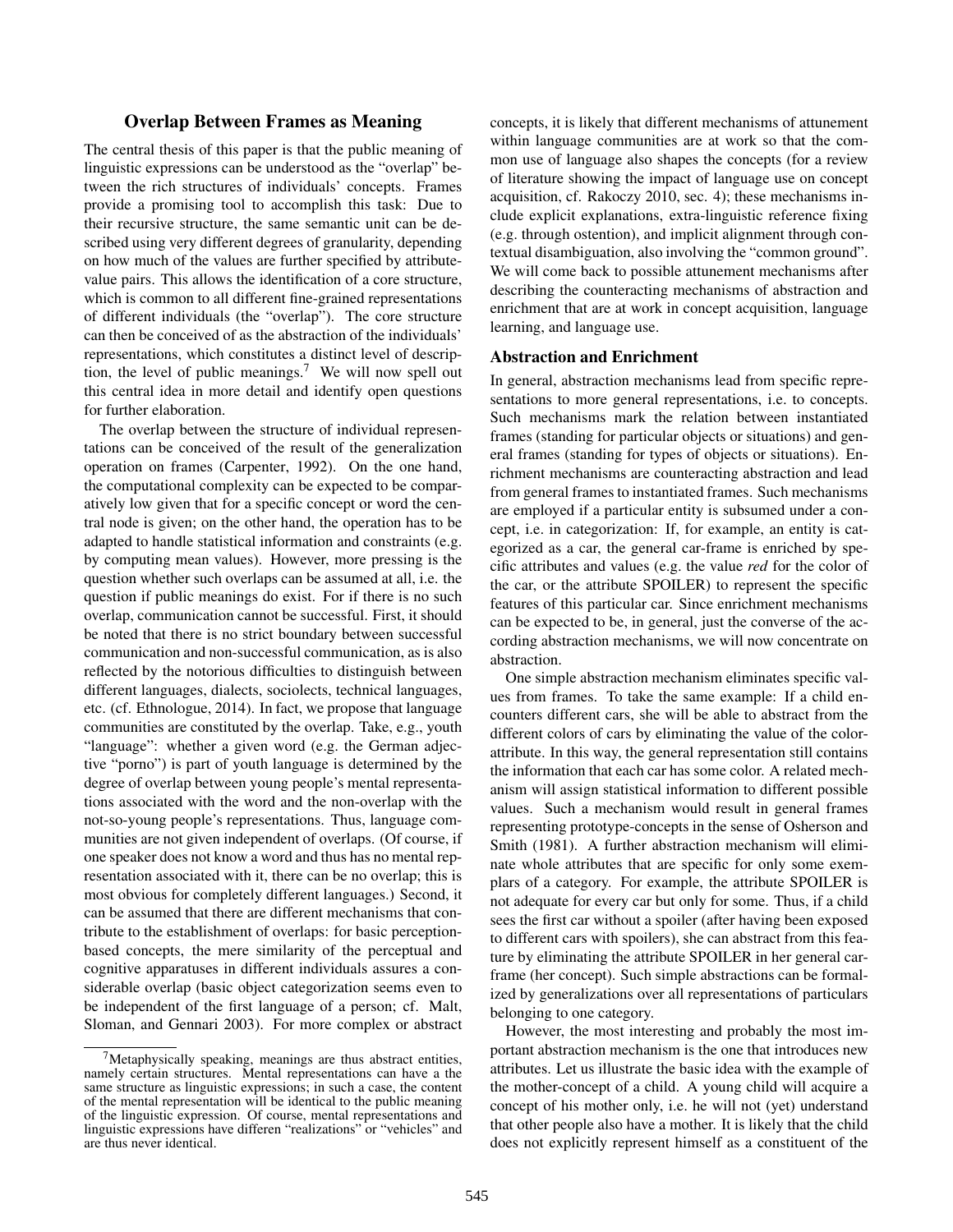# Overlap Between Frames as Meaning

The central thesis of this paper is that the public meaning of linguistic expressions can be understood as the "overlap" between the rich structures of individuals' concepts. Frames provide a promising tool to accomplish this task: Due to their recursive structure, the same semantic unit can be described using very different degrees of granularity, depending on how much of the values are further specified by attributevalue pairs. This allows the identification of a core structure, which is common to all different fine-grained representations of different individuals (the "overlap"). The core structure can then be conceived of as the abstraction of the individuals' representations, which constitutes a distinct level of description, the level of public meanings.<sup>7</sup> We will now spell out this central idea in more detail and identify open questions for further elaboration.

The overlap between the structure of individual representations can be conceived of the result of the generalization operation on frames (Carpenter, 1992). On the one hand, the computational complexity can be expected to be comparatively low given that for a specific concept or word the central node is given; on the other hand, the operation has to be adapted to handle statistical information and constraints (e.g. by computing mean values). However, more pressing is the question whether such overlaps can be assumed at all, i.e. the question if public meanings do exist. For if there is no such overlap, communication cannot be successful. First, it should be noted that there is no strict boundary between successful communication and non-successful communication, as is also reflected by the notorious difficulties to distinguish between different languages, dialects, sociolects, technical languages, etc. (cf. Ethnologue, 2014). In fact, we propose that language communities are constituted by the overlap. Take, e.g., youth "language": whether a given word (e.g. the German adjective "porno") is part of youth language is determined by the degree of overlap between young people's mental representations associated with the word and the non-overlap with the not-so-young people's representations. Thus, language communities are not given independent of overlaps. (Of course, if one speaker does not know a word and thus has no mental representation associated with it, there can be no overlap; this is most obvious for completely different languages.) Second, it can be assumed that there are different mechanisms that contribute to the establishment of overlaps: for basic perceptionbased concepts, the mere similarity of the perceptual and cognitive apparatuses in different individuals assures a considerable overlap (basic object categorization seems even to be independent of the first language of a person; cf. Malt, Sloman, and Gennari 2003). For more complex or abstract

 $7$ Metaphysically speaking, meanings are thus abstract entities, namely certain structures. Mental representations can have a the same structure as linguistic expressions; in such a case, the content of the mental representation will be identical to the public meaning of the linguistic expression. Of course, mental representations and linguistic expressions have differen "realizations" or "vehicles" and are thus never identical.

concepts, it is likely that different mechanisms of attunement within language communities are at work so that the common use of language also shapes the concepts (for a review of literature showing the impact of language use on concept acquisition, cf. Rakoczy 2010, sec. 4); these mechanisms include explicit explanations, extra-linguistic reference fixing (e.g. through ostention), and implicit alignment through contextual disambiguation, also involving the "common ground". We will come back to possible attunement mechanisms after describing the counteracting mechanisms of abstraction and enrichment that are at work in concept acquisition, language learning, and language use.

# Abstraction and Enrichment

In general, abstraction mechanisms lead from specific representations to more general representations, i.e. to concepts. Such mechanisms mark the relation between instantiated frames (standing for particular objects or situations) and general frames (standing for types of objects or situations). Enrichment mechanisms are counteracting abstraction and lead from general frames to instantiated frames. Such mechanisms are employed if a particular entity is subsumed under a concept, i.e. in categorization: If, for example, an entity is categorized as a car, the general car-frame is enriched by specific attributes and values (e.g. the value *red* for the color of the car, or the attribute SPOILER) to represent the specific features of this particular car. Since enrichment mechanisms can be expected to be, in general, just the converse of the according abstraction mechanisms, we will now concentrate on abstraction.

One simple abstraction mechanism eliminates specific values from frames. To take the same example: If a child encounters different cars, she will be able to abstract from the different colors of cars by eliminating the value of the colorattribute. In this way, the general representation still contains the information that each car has some color. A related mechanism will assign statistical information to different possible values. Such a mechanism would result in general frames representing prototype-concepts in the sense of Osherson and Smith (1981). A further abstraction mechanism will eliminate whole attributes that are specific for only some exemplars of a category. For example, the attribute SPOILER is not adequate for every car but only for some. Thus, if a child sees the first car without a spoiler (after having been exposed to different cars with spoilers), she can abstract from this feature by eliminating the attribute SPOILER in her general carframe (her concept). Such simple abstractions can be formalized by generalizations over all representations of particulars belonging to one category.

However, the most interesting and probably the most important abstraction mechanism is the one that introduces new attributes. Let us illustrate the basic idea with the example of the mother-concept of a child. A young child will acquire a concept of his mother only, i.e. he will not (yet) understand that other people also have a mother. It is likely that the child does not explicitly represent himself as a constituent of the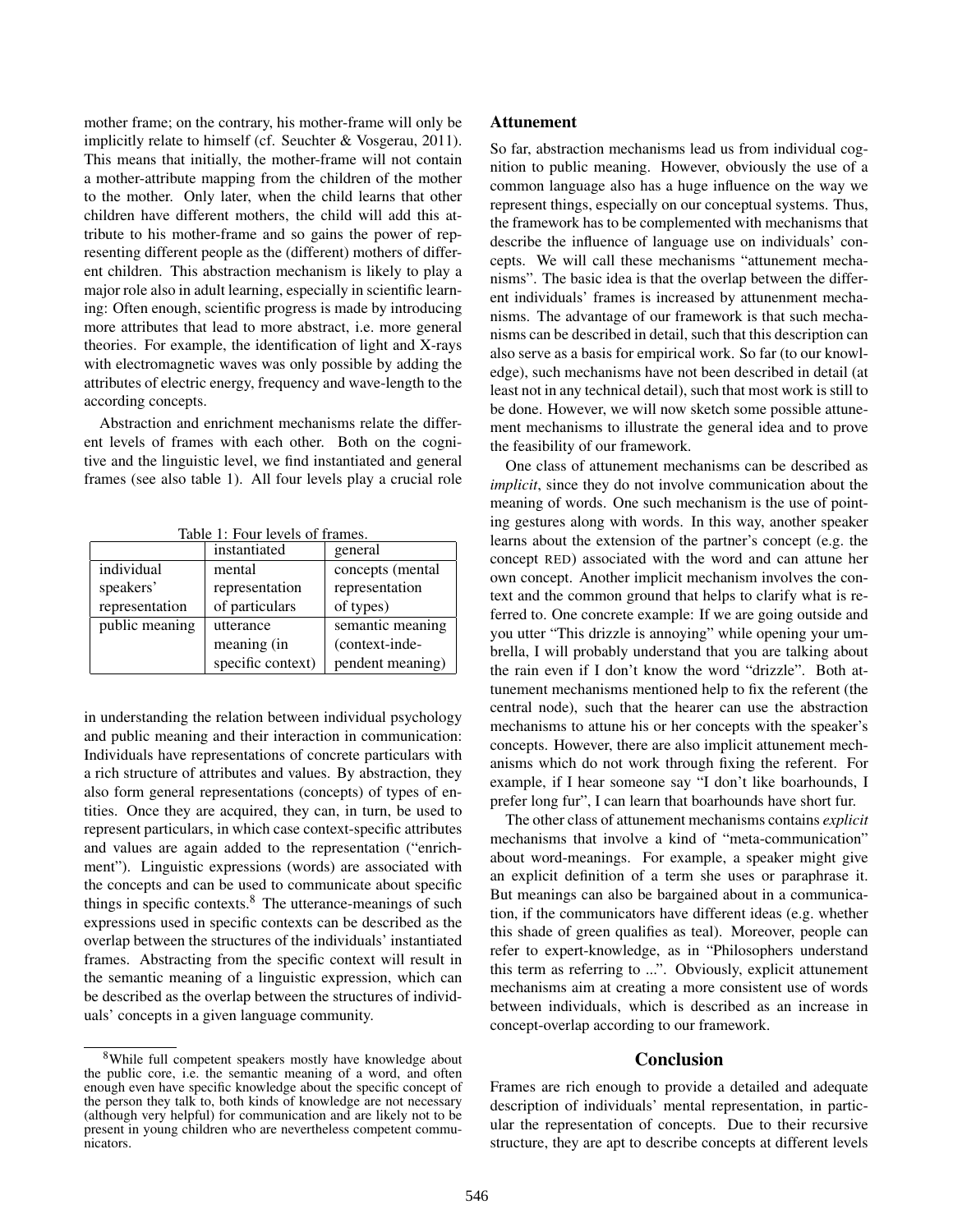mother frame; on the contrary, his mother-frame will only be implicitly relate to himself (cf. Seuchter & Vosgerau, 2011). This means that initially, the mother-frame will not contain a mother-attribute mapping from the children of the mother to the mother. Only later, when the child learns that other children have different mothers, the child will add this attribute to his mother-frame and so gains the power of representing different people as the (different) mothers of different children. This abstraction mechanism is likely to play a major role also in adult learning, especially in scientific learning: Often enough, scientific progress is made by introducing more attributes that lead to more abstract, i.e. more general theories. For example, the identification of light and X-rays with electromagnetic waves was only possible by adding the attributes of electric energy, frequency and wave-length to the according concepts.

Abstraction and enrichment mechanisms relate the different levels of frames with each other. Both on the cognitive and the linguistic level, we find instantiated and general frames (see also table 1). All four levels play a crucial role

Table 1: Four levels of frames.

|                | instantiated      | general           |
|----------------|-------------------|-------------------|
| individual     | mental            | concepts (mental) |
| speakers'      | representation    | representation    |
| representation | of particulars    | of types)         |
| public meaning | utterance         | semantic meaning  |
|                | meaning (in       | (context-inde-    |
|                | specific context) | pendent meaning)  |

in understanding the relation between individual psychology and public meaning and their interaction in communication: Individuals have representations of concrete particulars with a rich structure of attributes and values. By abstraction, they also form general representations (concepts) of types of entities. Once they are acquired, they can, in turn, be used to represent particulars, in which case context-specific attributes and values are again added to the representation ("enrichment"). Linguistic expressions (words) are associated with the concepts and can be used to communicate about specific things in specific contexts.<sup>8</sup> The utterance-meanings of such expressions used in specific contexts can be described as the overlap between the structures of the individuals' instantiated frames. Abstracting from the specific context will result in the semantic meaning of a linguistic expression, which can be described as the overlap between the structures of individuals' concepts in a given language community.

#### Attunement

So far, abstraction mechanisms lead us from individual cognition to public meaning. However, obviously the use of a common language also has a huge influence on the way we represent things, especially on our conceptual systems. Thus, the framework has to be complemented with mechanisms that describe the influence of language use on individuals' concepts. We will call these mechanisms "attunement mechanisms". The basic idea is that the overlap between the different individuals' frames is increased by attunenment mechanisms. The advantage of our framework is that such mechanisms can be described in detail, such that this description can also serve as a basis for empirical work. So far (to our knowledge), such mechanisms have not been described in detail (at least not in any technical detail), such that most work is still to be done. However, we will now sketch some possible attunement mechanisms to illustrate the general idea and to prove the feasibility of our framework.

One class of attunement mechanisms can be described as *implicit*, since they do not involve communication about the meaning of words. One such mechanism is the use of pointing gestures along with words. In this way, another speaker learns about the extension of the partner's concept (e.g. the concept RED) associated with the word and can attune her own concept. Another implicit mechanism involves the context and the common ground that helps to clarify what is referred to. One concrete example: If we are going outside and you utter "This drizzle is annoying" while opening your umbrella, I will probably understand that you are talking about the rain even if I don't know the word "drizzle". Both attunement mechanisms mentioned help to fix the referent (the central node), such that the hearer can use the abstraction mechanisms to attune his or her concepts with the speaker's concepts. However, there are also implicit attunement mechanisms which do not work through fixing the referent. For example, if I hear someone say "I don't like boarhounds, I prefer long fur", I can learn that boarhounds have short fur.

The other class of attunement mechanisms contains *explicit* mechanisms that involve a kind of "meta-communication" about word-meanings. For example, a speaker might give an explicit definition of a term she uses or paraphrase it. But meanings can also be bargained about in a communication, if the communicators have different ideas (e.g. whether this shade of green qualifies as teal). Moreover, people can refer to expert-knowledge, as in "Philosophers understand this term as referring to ...". Obviously, explicit attunement mechanisms aim at creating a more consistent use of words between individuals, which is described as an increase in concept-overlap according to our framework.

# Conclusion

Frames are rich enough to provide a detailed and adequate description of individuals' mental representation, in particular the representation of concepts. Due to their recursive structure, they are apt to describe concepts at different levels

<sup>8</sup>While full competent speakers mostly have knowledge about the public core, i.e. the semantic meaning of a word, and often enough even have specific knowledge about the specific concept of the person they talk to, both kinds of knowledge are not necessary (although very helpful) for communication and are likely not to be present in young children who are nevertheless competent communicators.